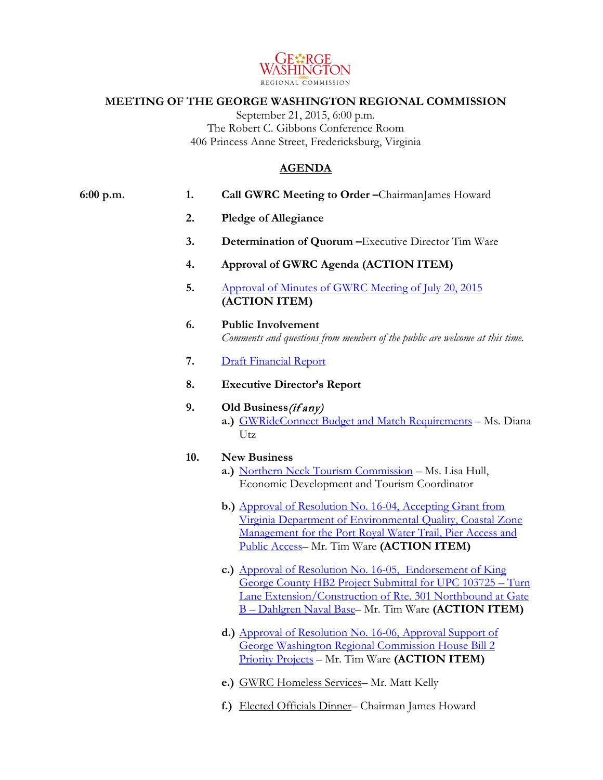

## **MEETING OF THE GEORGE WASHINGTON REGIONAL COMMISSION**

September 21, 2015, 6:00 p.m. The Robert C. Gibbons Conference Room 406 Princess Anne Street, Fredericksburg, Virginia

## **AGENDA**

| 6:00 p.m. | 1.  | Call GWRC Meeting to Order -ChairmanJames Howard                                                                                                                                                                                                   |
|-----------|-----|----------------------------------------------------------------------------------------------------------------------------------------------------------------------------------------------------------------------------------------------------|
|           | 2.  | <b>Pledge of Allegiance</b>                                                                                                                                                                                                                        |
|           | 3.  | Determination of Quorum - Executive Director Tim Ware                                                                                                                                                                                              |
|           | 4.  | Approval of GWRC Agenda (ACTION ITEM)                                                                                                                                                                                                              |
|           | 5.  | Approval of Minutes of GWRC Meeting of July 20, 2015<br>(ACTION ITEM)                                                                                                                                                                              |
|           | 6.  | <b>Public Involvement</b><br>Comments and questions from members of the public are welcome at this time.                                                                                                                                           |
|           | 7.  | <b>Draft Financial Report</b>                                                                                                                                                                                                                      |
|           | 8.  | <b>Executive Director's Report</b>                                                                                                                                                                                                                 |
|           | 9.  | Old Business (if any)<br>a.) GWRideConnect Budget and Match Requirements - Ms. Diana<br>Utz                                                                                                                                                        |
|           | 10. | <b>New Business</b><br>a.) Northern Neck Tourism Commission - Ms. Lisa Hull,<br>Economic Development and Tourism Coordinator                                                                                                                       |
|           |     | b.) Approval of Resolution No. 16-04, Accepting Grant from<br>Virginia Department of Environmental Quality, Coastal Zone<br>Management for the Port Royal Water Trail, Pier Access and<br>Public Access- Mr. Tim Ware (ACTION ITEM)                |
|           |     | c.) Approval of Resolution No. 16-05, Endorsement of King<br>George County HB2 Project Submittal for UPC 103725 - Turn<br>Lane Extension/Construction of Rte. 301 Northbound at Gate<br><b>B</b> – Dahlgren Naval Base– Mr. Tim Ware (ACTION ITEM) |
|           |     | d.) Approval of Resolution No. 16-06, Approval Support of<br>George Washington Regional Commission House Bill 2<br><b>Priority Projects</b> – Mr. Tim Ware ( <b>ACTION ITEM</b> )                                                                  |
|           |     | e.) GWRC Homeless Services- Mr. Matt Kelly                                                                                                                                                                                                         |

**f.)** Elected Officials Dinner– Chairman James Howard